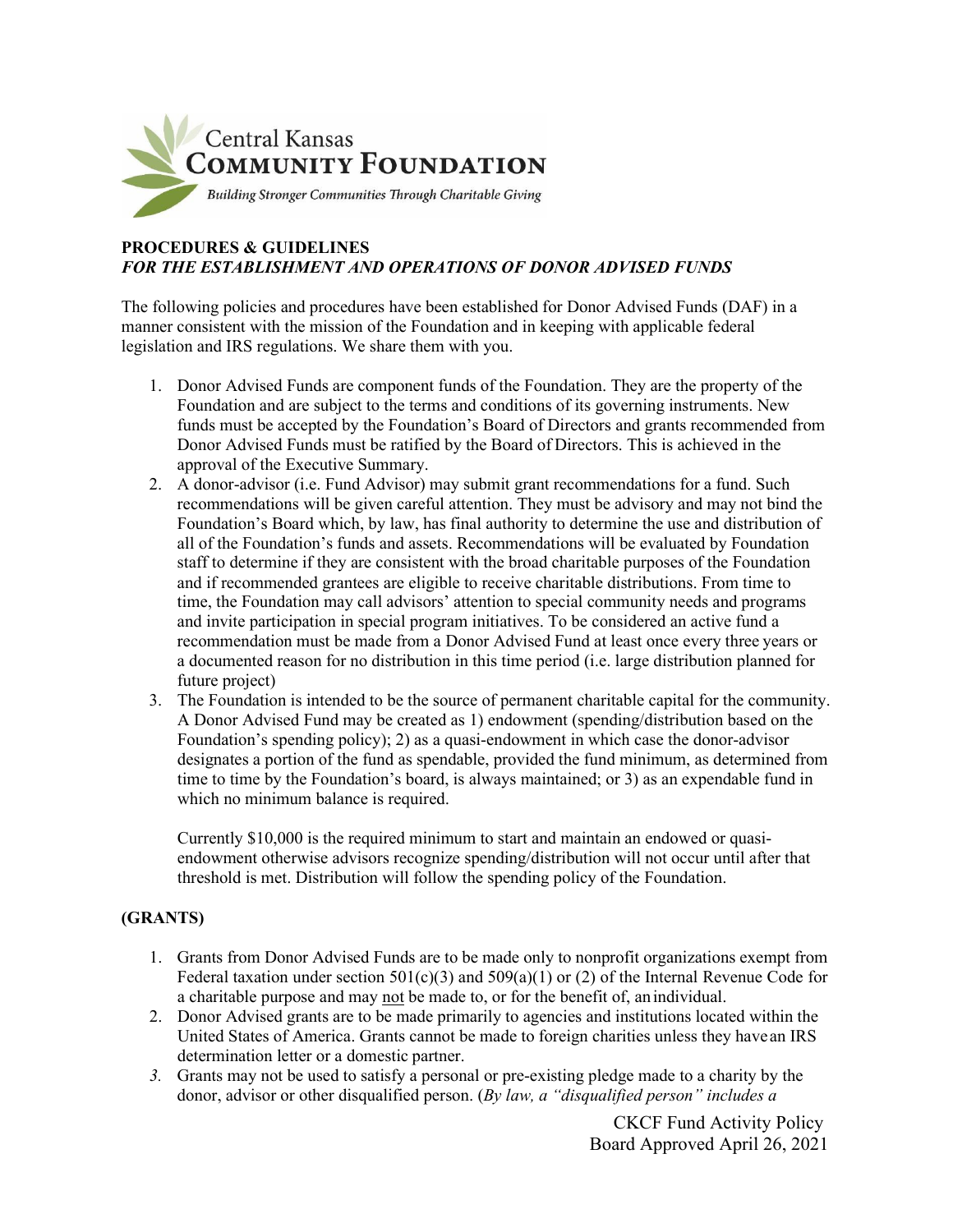

## **PROCEDURES & GUIDELINES** *FOR THE ESTABLISHMENT AND OPERATIONS OF DONOR ADVISED FUNDS*

The following policies and procedures have been established for Donor Advised Funds (DAF) in a manner consistent with the mission of the Foundation and in keeping with applicable federal legislation and IRS regulations. We share them with you.

- 1. Donor Advised Funds are component funds of the Foundation. They are the property of the Foundation and are subject to the terms and conditions of its governing instruments. New funds must be accepted by the Foundation's Board of Directors and grants recommended from Donor Advised Funds must be ratified by the Board of Directors. This is achieved in the approval of the Executive Summary.
- 2. A donor-advisor (i.e. Fund Advisor) may submit grant recommendations for a fund. Such recommendations will be given careful attention. They must be advisory and may not bind the Foundation's Board which, by law, has final authority to determine the use and distribution of all of the Foundation's funds and assets. Recommendations will be evaluated by Foundation staff to determine if they are consistent with the broad charitable purposes of the Foundation and if recommended grantees are eligible to receive charitable distributions. From time to time, the Foundation may call advisors' attention to special community needs and programs and invite participation in special program initiatives. To be considered an active fund a recommendation must be made from a Donor Advised Fund at least once every three years or a documented reason for no distribution in this time period (i.e. large distribution planned for future project)
- 3. The Foundation is intended to be the source of permanent charitable capital for the community. A Donor Advised Fund may be created as 1) endowment (spending/distribution based on the Foundation's spending policy); 2) as a quasi-endowment in which case the donor-advisor designates a portion of the fund as spendable, provided the fund minimum, as determined from time to time by the Foundation's board, is always maintained; or 3) as an expendable fund in which no minimum balance is required.

Currently \$10,000 is the required minimum to start and maintain an endowed or quasiendowment otherwise advisors recognize spending/distribution will not occur until after that threshold is met. Distribution will follow the spending policy of the Foundation.

# **(GRANTS)**

- 1. Grants from Donor Advised Funds are to be made only to nonprofit organizations exempt from Federal taxation under section  $501(c)(3)$  and  $509(a)(1)$  or (2) of the Internal Revenue Code for a charitable purpose and may not be made to, or for the benefit of, anindividual.
- 2. Donor Advised grants are to be made primarily to agencies and institutions located within the United States of America. Grants cannot be made to foreign charities unless they havean IRS determination letter or a domestic partner.
- *3.* Grants may not be used to satisfy a personal or pre-existing pledge made to a charity by the donor, advisor or other disqualified person. (*By law, a "disqualified person" includes a*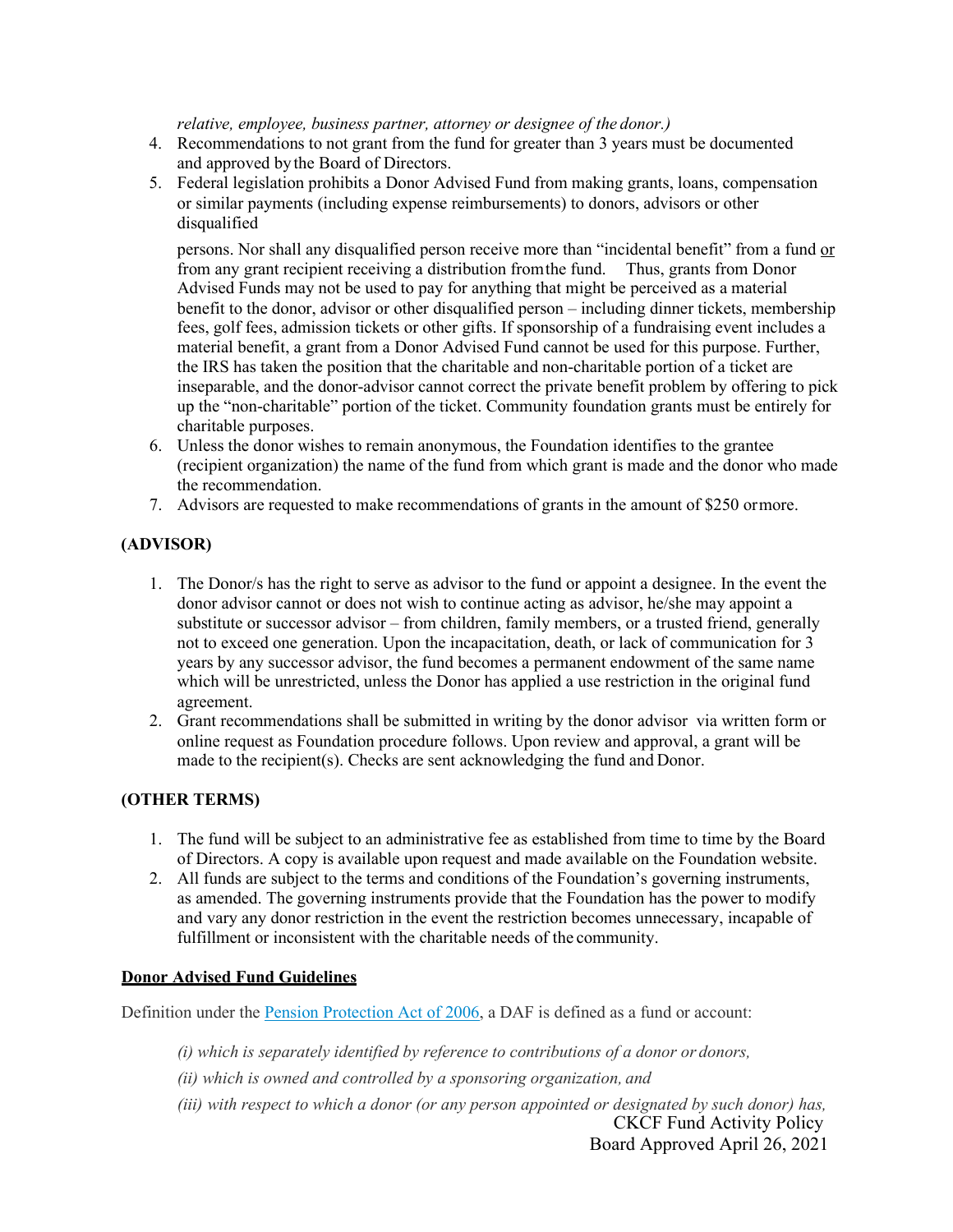*relative, employee, business partner, attorney or designee of the donor.)*

- 4. Recommendations to not grant from the fund for greater than 3 years must be documented and approved bythe Board of Directors.
- 5. Federal legislation prohibits a Donor Advised Fund from making grants, loans, compensation or similar payments (including expense reimbursements) to donors, advisors or other disqualified

persons. Nor shall any disqualified person receive more than "incidental benefit" from a fund or from any grant recipient receiving a distribution fromthe fund. Thus, grants from Donor Advised Funds may not be used to pay for anything that might be perceived as a material benefit to the donor, advisor or other disqualified person – including dinner tickets, membership fees, golf fees, admission tickets or other gifts. If sponsorship of a fundraising event includes a material benefit, a grant from a Donor Advised Fund cannot be used for this purpose. Further, the IRS has taken the position that the charitable and non-charitable portion of a ticket are inseparable, and the donor-advisor cannot correct the private benefit problem by offering to pick up the "non-charitable" portion of the ticket. Community foundation grants must be entirely for charitable purposes.

- 6. Unless the donor wishes to remain anonymous, the Foundation identifies to the grantee (recipient organization) the name of the fund from which grant is made and the donor who made the recommendation.
- 7. Advisors are requested to make recommendations of grants in the amount of \$250 ormore.

### **(ADVISOR)**

- 1. The Donor/s has the right to serve as advisor to the fund or appoint a designee. In the event the donor advisor cannot or does not wish to continue acting as advisor, he/she may appoint a substitute or successor advisor – from children, family members, or a trusted friend, generally not to exceed one generation. Upon the incapacitation, death, or lack of communication for 3 years by any successor advisor, the fund becomes a permanent endowment of the same name which will be unrestricted, unless the Donor has applied a use restriction in the original fund agreement.
- 2. Grant recommendations shall be submitted in writing by the donor advisor via written form or online request as Foundation procedure follows. Upon review and approval, a grant will be made to the recipient(s). Checks are sent acknowledging the fund and Donor.

# **(OTHER TERMS)**

- 1. The fund will be subject to an administrative fee as established from time to time by the Board of Directors. A copy is available upon request and made available on the Foundation website.
- 2. All funds are subject to the terms and conditions of the Foundation's governing instruments, as amended. The governing instruments provide that the Foundation has the power to modify and vary any donor restriction in the event the restriction becomes unnecessary, incapable of fulfillment or inconsistent with the charitable needs of the community.

#### **Donor Advised Fund Guidelines**

Definition under the [Pension Protection Act of 2006, a](https://www.dol.gov/agencies/ebsa/laws-and-regulations/laws/pension-protection-act) DAF is defined as a fund or account:

- *(i) which is separately identified by reference to contributions of a donor or donors,*
- *(ii) which is owned and controlled by a sponsoring organization, and*
- CKCF Fund Activity Policy *(iii) with respect to which a donor (or any person appointed or designated by such donor) has,*

Board Approved April 26, 2021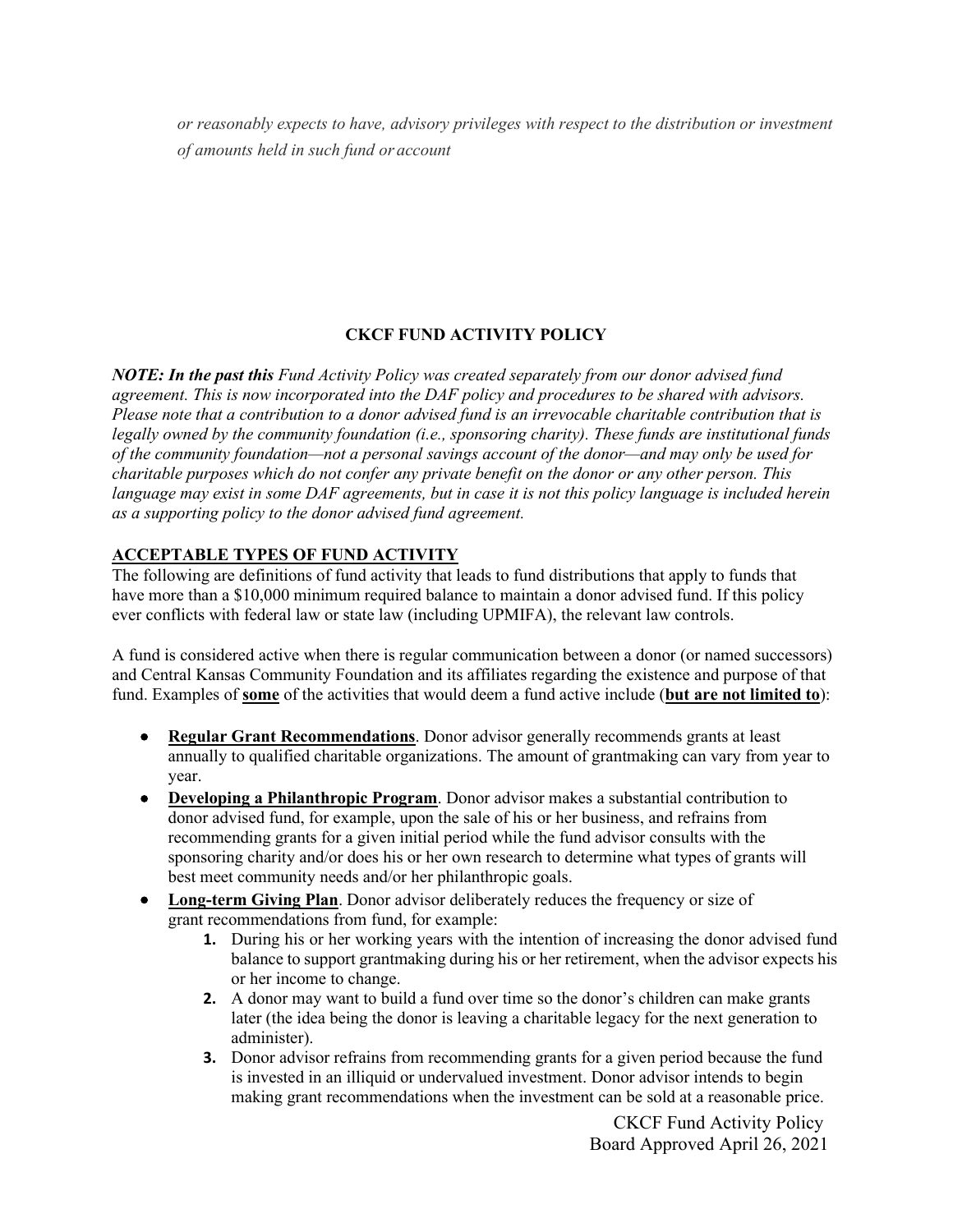*or reasonably expects to have, advisory privileges with respect to the distribution or investment of amounts held in such fund or account*

# **CKCF FUND ACTIVITY POLICY**

*NOTE: In the past this Fund Activity Policy was created separately from our donor advised fund agreement. This is now incorporated into the DAF policy and procedures to be shared with advisors. Please note that a contribution to a donor advised fund is an irrevocable charitable contribution that is legally owned by the community foundation (i.e., sponsoring charity). These funds are institutional funds of the community foundation—not a personal savings account of the donor—and may only be used for charitable purposes which do not confer any private benefit on the donor or any other person. This language may exist in some DAF agreements, but in case it is not this policy language is included herein as a supporting policy to the donor advised fund agreement.*

# **ACCEPTABLE TYPES OF FUND ACTIVITY**

The following are definitions of fund activity that leads to fund distributions that apply to funds that have more than a \$10,000 minimum required balance to maintain a donor advised fund. If this policy ever conflicts with federal law or state law (including UPMIFA), the relevant law controls.

A fund is considered active when there is regular communication between a donor (or named successors) and Central Kansas Community Foundation and its affiliates regarding the existence and purpose of that fund. Examples of **some** of the activities that would deem a fund active include (**but are not limited to**):

- **Regular Grant Recommendations**. Donor advisor generally recommends grants at least annually to qualified charitable organizations. The amount of grantmaking can vary from year to year.
- **Developing a Philanthropic Program**. Donor advisor makes a substantial contribution to donor advised fund, for example, upon the sale of his or her business, and refrains from recommending grants for a given initial period while the fund advisor consults with the sponsoring charity and/or does his or her own research to determine what types of grants will best meet community needs and/or her philanthropic goals.
- **Long-term Giving Plan**. Donor advisor deliberately reduces the frequency or size of grant recommendations from fund, for example:
	- **1.** During his or her working years with the intention of increasing the donor advised fund balance to support grantmaking during his or her retirement, when the advisor expects his or her income to change.
	- **2.** A donor may want to build a fund over time so the donor's children can make grants later (the idea being the donor is leaving a charitable legacy for the next generation to administer).
	- **3.** Donor advisor refrains from recommending grants for a given period because the fund is invested in an illiquid or undervalued investment. Donor advisor intends to begin making grant recommendations when the investment can be sold at a reasonable price.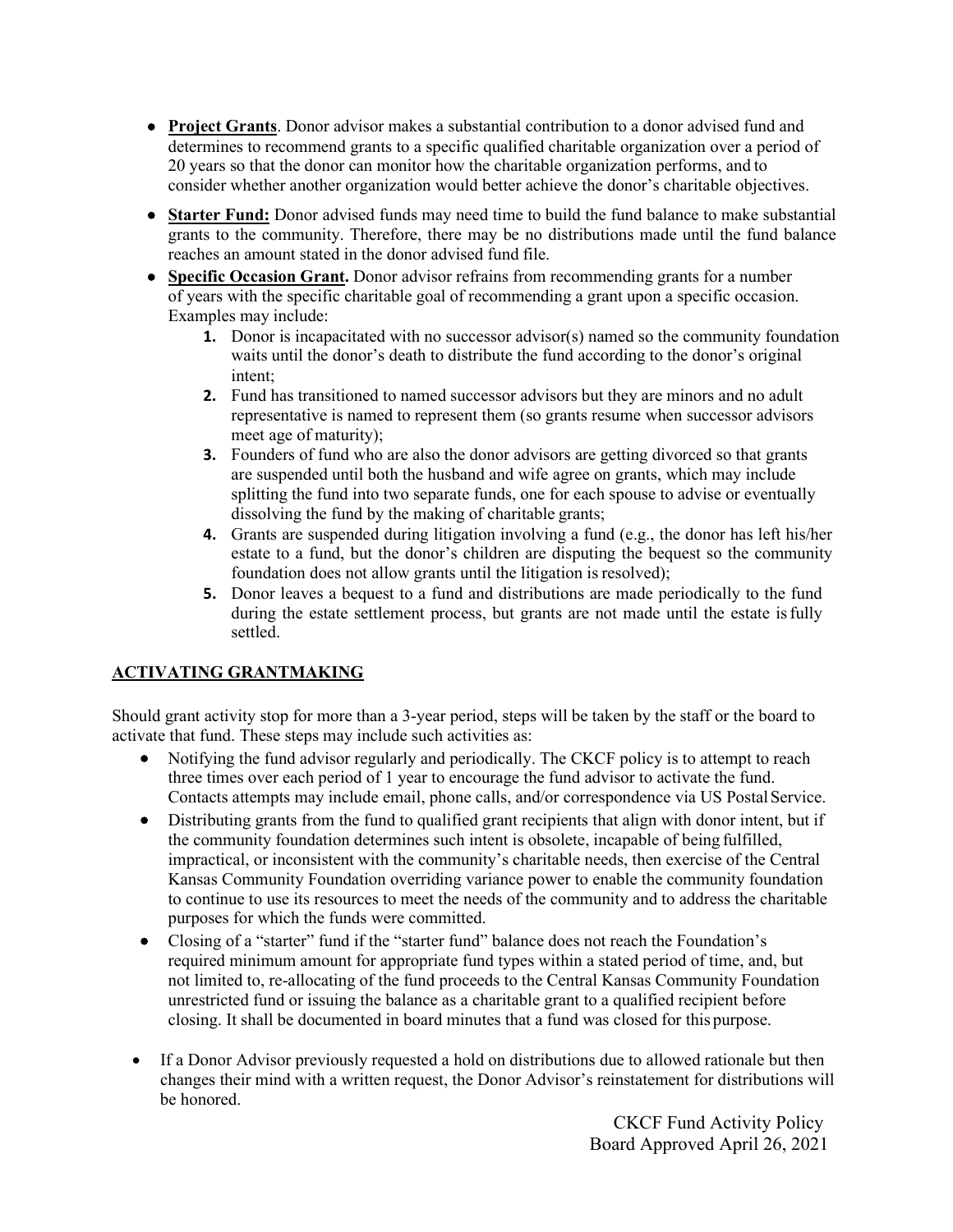- **Project Grants**. Donor advisor makes a substantial contribution to a donor advised fund and determines to recommend grants to a specific qualified charitable organization over a period of 20 years so that the donor can monitor how the charitable organization performs, and to consider whether another organization would better achieve the donor's charitable objectives.
- **Starter Fund:** Donor advised funds may need time to build the fund balance to make substantial grants to the community. Therefore, there may be no distributions made until the fund balance reaches an amount stated in the donor advised fund file.
- **Specific Occasion Grant.** Donor advisor refrains from recommending grants for a number of years with the specific charitable goal of recommending a grant upon a specific occasion. Examples may include:
	- **1.** Donor is incapacitated with no successor advisor(s) named so the community foundation waits until the donor's death to distribute the fund according to the donor's original intent;
	- **2.** Fund has transitioned to named successor advisors but they are minors and no adult representative is named to represent them (so grants resume when successor advisors meet age of maturity);
	- **3.** Founders of fund who are also the donor advisors are getting divorced so that grants are suspended until both the husband and wife agree on grants, which may include splitting the fund into two separate funds, one for each spouse to advise or eventually dissolving the fund by the making of charitable grants;
	- **4.** Grants are suspended during litigation involving a fund (e.g., the donor has left his/her estate to a fund, but the donor's children are disputing the bequest so the community foundation does not allow grants until the litigation is resolved);
	- **5.** Donor leaves a bequest to a fund and distributions are made periodically to the fund during the estate settlement process, but grants are not made until the estate isfully settled.

# **ACTIVATING GRANTMAKING**

Should grant activity stop for more than a 3-year period, steps will be taken by the staff or the board to activate that fund. These steps may include such activities as:

- Notifying the fund advisor regularly and periodically. The CKCF policy is to attempt to reach three times over each period of 1 year to encourage the fund advisor to activate the fund. Contacts attempts may include email, phone calls, and/or correspondence via US Postal Service.
- Distributing grants from the fund to qualified grant recipients that align with donor intent, but if the community foundation determines such intent is obsolete, incapable of being fulfilled, impractical, or inconsistent with the community's charitable needs, then exercise of the Central Kansas Community Foundation overriding variance power to enable the community foundation to continue to use its resources to meet the needs of the community and to address the charitable purposes for which the funds were committed.
- Closing of a "starter" fund if the "starter fund" balance does not reach the Foundation's required minimum amount for appropriate fund types within a stated period of time, and, but not limited to, re-allocating of the fund proceeds to the Central Kansas Community Foundation unrestricted fund or issuing the balance as a charitable grant to a qualified recipient before closing. It shall be documented in board minutes that a fund was closed for this purpose.
- If a Donor Advisor previously requested a hold on distributions due to allowed rationale but then changes their mind with a written request, the Donor Advisor's reinstatement for distributions will be honored.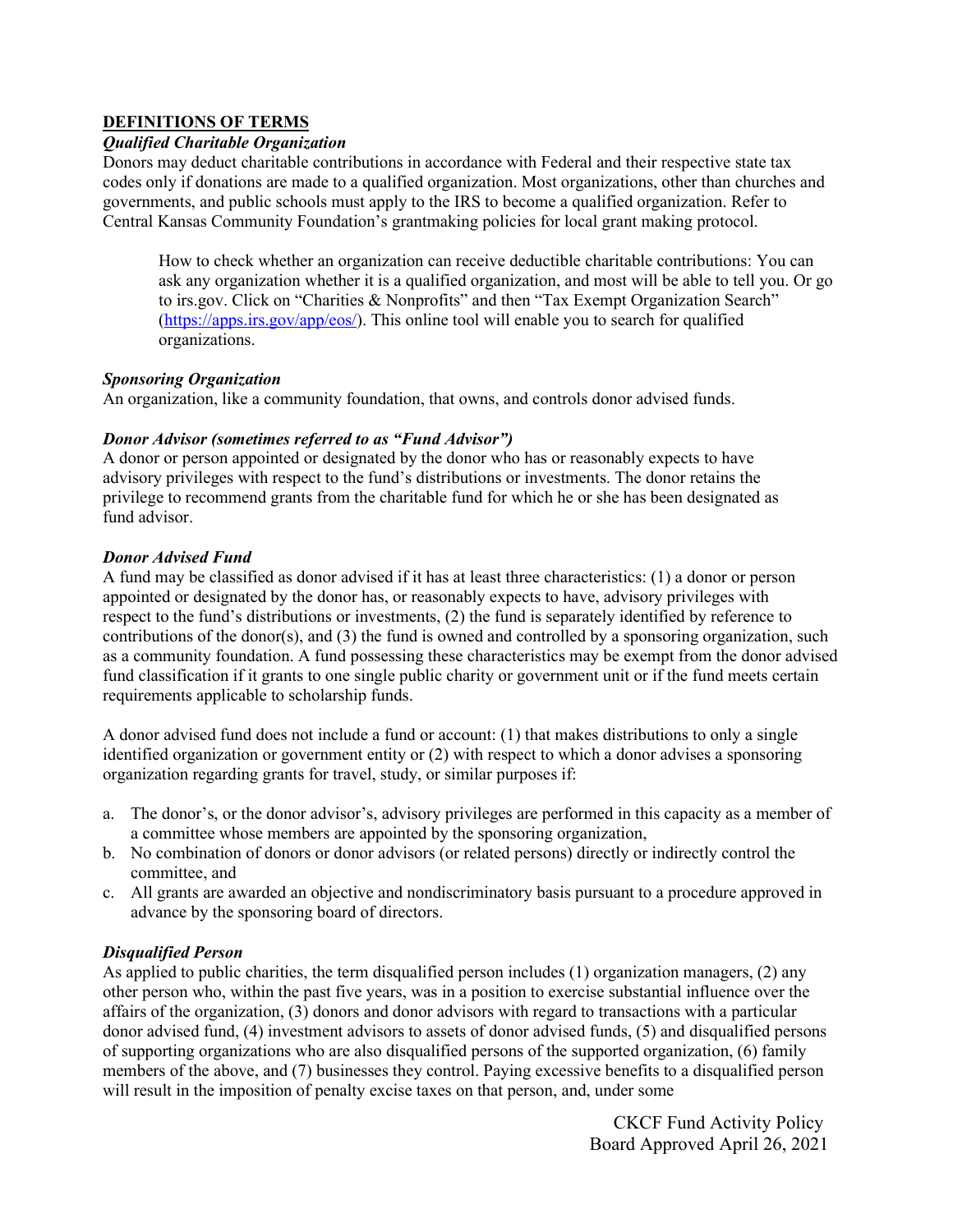## **DEFINITIONS OF TERMS**

### *Qualified Charitable Organization*

Donors may deduct charitable contributions in accordance with Federal and their respective state tax codes only if donations are made to a qualified organization. Most organizations, other than churches and governments, and public schools must apply to the IRS to become a qualified organization. Refer to Central Kansas Community Foundation's grantmaking policies for local grant making protocol.

How to check whether an organization can receive deductible charitable contributions: You can ask any organization whether it is a qualified organization, and most will be able to tell you. Or go to irs.gov. Click on "Charities & Nonprofits" and then "Tax Exempt Organization Search" [\(https://apps.irs.gov/app/eos/\)](https://apps.irs.gov/app/eos/). This online tool will enable you to search for qualified organizations.

### *Sponsoring Organization*

An organization, like a community foundation, that owns, and controls donor advised funds.

### *Donor Advisor (sometimes referred to as "Fund Advisor")*

A donor or person appointed or designated by the donor who has or reasonably expects to have advisory privileges with respect to the fund's distributions or investments. The donor retains the privilege to recommend grants from the charitable fund for which he or she has been designated as fund advisor.

### *Donor Advised Fund*

A fund may be classified as donor advised if it has at least three characteristics: (1) a donor or person appointed or designated by the donor has, or reasonably expects to have, advisory privileges with respect to the fund's distributions or investments, (2) the fund is separately identified by reference to contributions of the donor(s), and (3) the fund is owned and controlled by a sponsoring organization, such as a community foundation. A fund possessing these characteristics may be exempt from the donor advised fund classification if it grants to one single public charity or government unit or if the fund meets certain requirements applicable to scholarship funds.

A donor advised fund does not include a fund or account: (1) that makes distributions to only a single identified organization or government entity or (2) with respect to which a donor advises a sponsoring organization regarding grants for travel, study, or similar purposes if:

- a. The donor's, or the donor advisor's, advisory privileges are performed in this capacity as a member of a committee whose members are appointed by the sponsoring organization,
- b. No combination of donors or donor advisors (or related persons) directly or indirectly control the committee, and
- c. All grants are awarded an objective and nondiscriminatory basis pursuant to a procedure approved in advance by the sponsoring board of directors.

# *Disqualified Person*

As applied to public charities, the term disqualified person includes (1) organization managers, (2) any other person who, within the past five years, was in a position to exercise substantial influence over the affairs of the organization, (3) donors and donor advisors with regard to transactions with a particular donor advised fund, (4) investment advisors to assets of donor advised funds, (5) and disqualified persons of supporting organizations who are also disqualified persons of the supported organization, (6) family members of the above, and (7) businesses they control. Paying excessive benefits to a disqualified person will result in the imposition of penalty excise taxes on that person, and, under some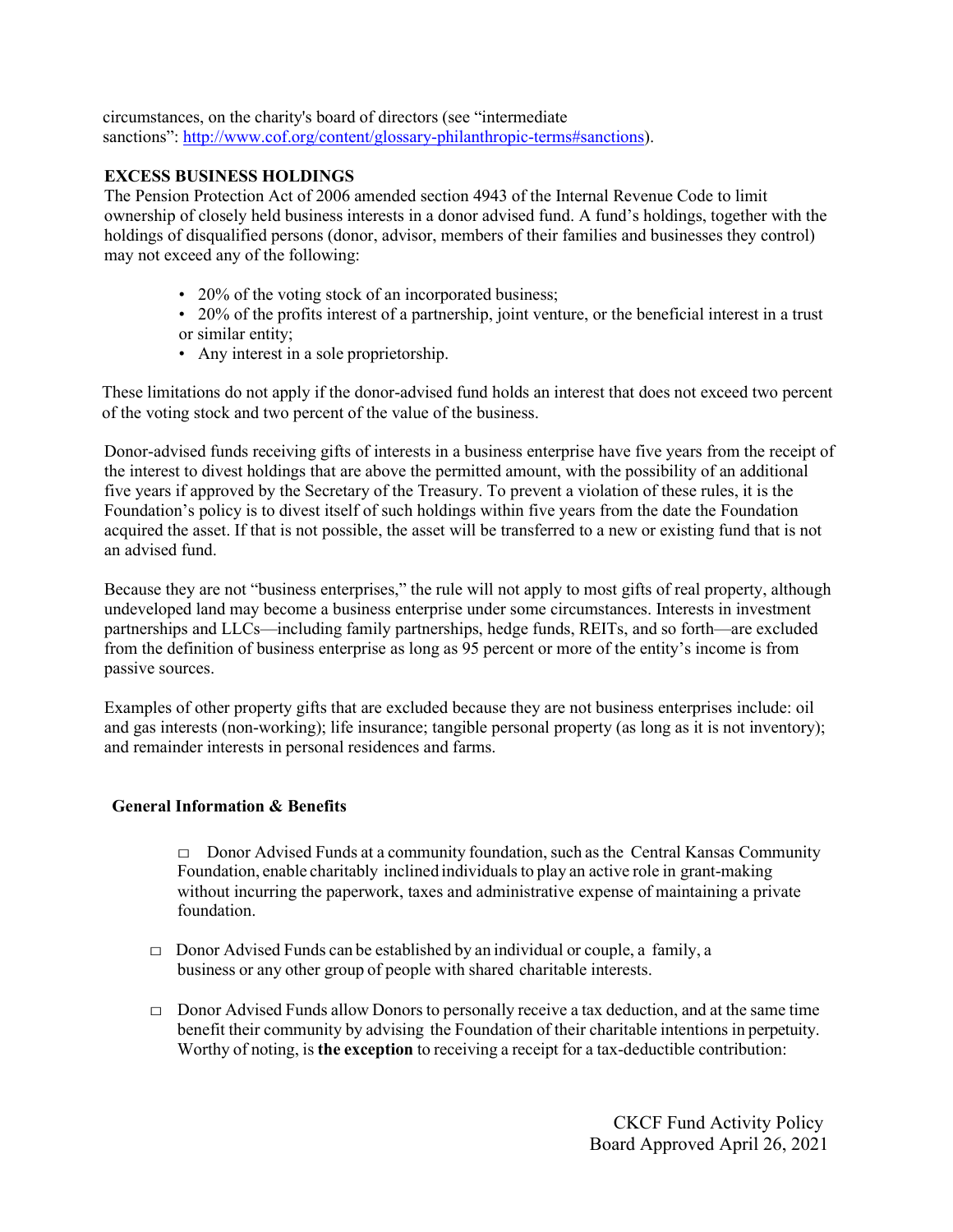circumstances, on the charity's board of directors (see "intermediate sanctions": [http://www.cof.org/content/glossary-philanthropic-terms#sanctions\)](http://www.cof.org/content/glossary-philanthropic-terms).

# **EXCESS BUSINESS HOLDINGS**

The Pension Protection Act of 2006 amended section 4943 of the Internal Revenue Code to limit ownership of closely held business interests in a donor advised fund. A fund's holdings, together with the holdings of disqualified persons (donor, advisor, members of their families and businesses they control) may not exceed any of the following:

- 20% of the voting stock of an incorporated business;
- 20% of the profits interest of a partnership, joint venture, or the beneficial interest in a trust or similar entity;
- Any interest in a sole proprietorship.

These limitations do not apply if the donor-advised fund holds an interest that does not exceed two percent of the voting stock and two percent of the value of the business.

Donor-advised funds receiving gifts of interests in a business enterprise have five years from the receipt of the interest to divest holdings that are above the permitted amount, with the possibility of an additional five years if approved by the Secretary of the Treasury. To prevent a violation of these rules, it is the Foundation's policy is to divest itself of such holdings within five years from the date the Foundation acquired the asset. If that is not possible, the asset will be transferred to a new or existing fund that is not an advised fund.

Because they are not "business enterprises," the rule will not apply to most gifts of real property, although undeveloped land may become a business enterprise under some circumstances. Interests in investment partnerships and LLCs—including family partnerships, hedge funds, REITs, and so forth—are excluded from the definition of business enterprise as long as 95 percent or more of the entity's income is from passive sources.

Examples of other property gifts that are excluded because they are not business enterprises include: oil and gas interests (non-working); life insurance; tangible personal property (as long as it is not inventory); and remainder interests in personal residences and farms.

#### **General Information & Benefits**

 $\Box$  Donor Advised Funds at a community foundation, such as the Central Kansas Community Foundation, enable charitably inclined individuals to play an active role in grant-making without incurring the paperwork, taxes and administrative expense of maintaining a private foundation.

- $\Box$  Donor Advised Funds can be established by an individual or couple, a family, a business or any other group of people with shared charitable interests.
- $\Box$  Donor Advised Funds allow Donors to personally receive a tax deduction, and at the same time benefit their community by advising the Foundation of their charitable intentions in perpetuity. Worthy of noting, is **the exception** to receiving a receipt for a tax-deductible contribution: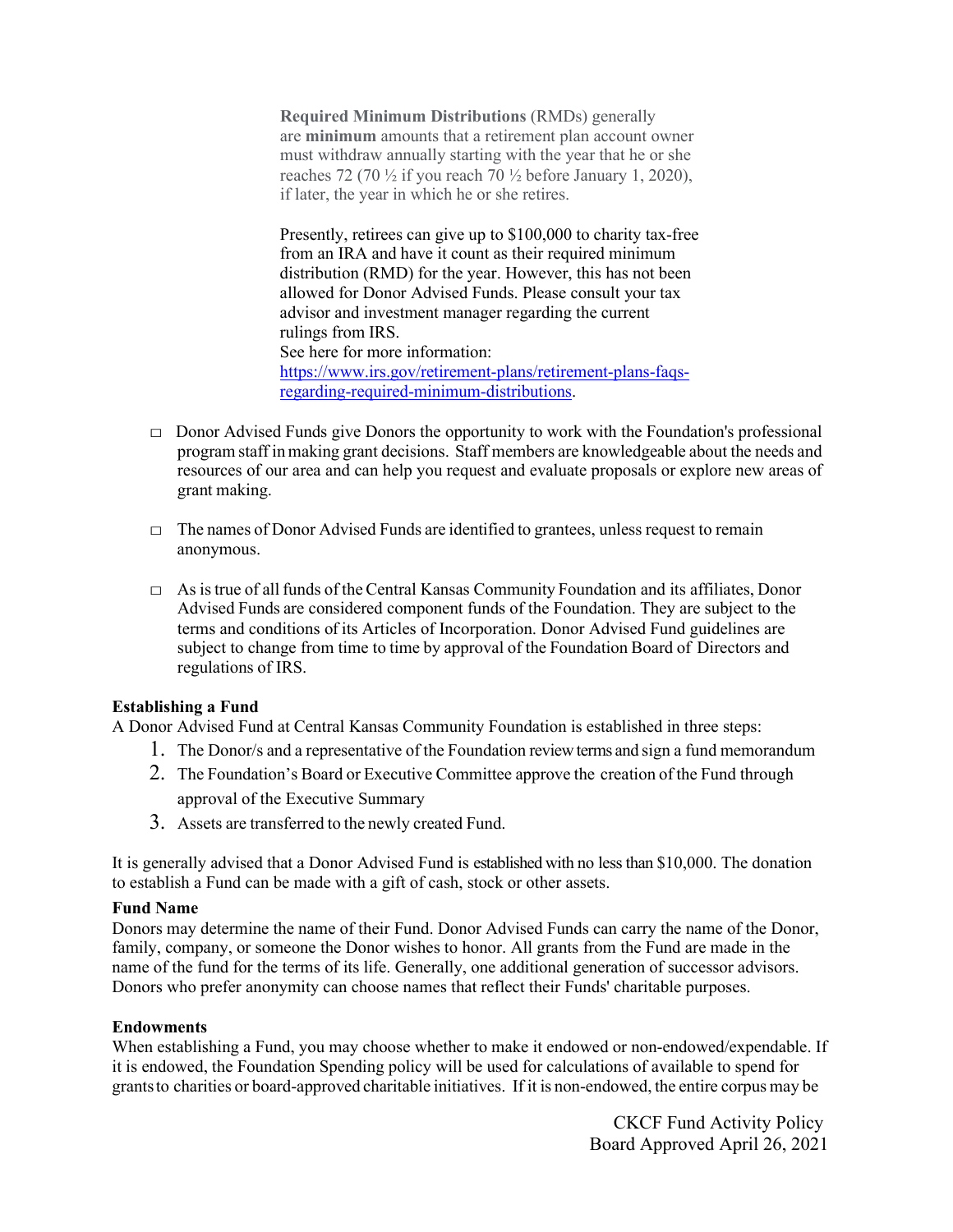**Required Minimum Distributions** (RMDs) generally are **minimum** amounts that a retirement plan account owner must withdraw annually starting with the year that he or she reaches 72 (70  $\frac{1}{2}$  if you reach 70  $\frac{1}{2}$  before January 1, 2020), if later, the year in which he or she retires.

Presently, retirees can give up to \$100,000 to charity tax-free from an IRA and have it count as their required minimum distribution (RMD) for the year. However, this has not been allowed for Donor Advised Funds. Please consult your tax advisor and investment manager regarding the current rulings from IRS. See here for more information: [https://www.irs.gov/retirement-plans/retirement-plans-faqs](https://www.irs.gov/retirement-plans/retirement-plans-faqs-regarding-required-minimum-distributions)[regarding-required-minimum-distributions.](https://www.irs.gov/retirement-plans/retirement-plans-faqs-regarding-required-minimum-distributions)

- $\Box$  Donor Advised Funds give Donors the opportunity to work with the Foundation's professional program staff inmaking grant decisions. Staff members are knowledgeable about the needs and resources of our area and can help you request and evaluate proposals or explore new areas of grant making.
- $\Box$  The names of Donor Advised Funds are identified to grantees, unless request to remain anonymous.
- □ As istrue of all funds of the Central Kansas Community Foundation and its affiliates, Donor Advised Funds are considered component funds of the Foundation. They are subject to the terms and conditions of its Articles of Incorporation. Donor Advised Fund guidelines are subject to change from time to time by approval of the Foundation Board of Directors and regulations of IRS.

### **Establishing a Fund**

A Donor Advised Fund at Central Kansas Community Foundation is established in three steps:

- 1. The Donor/s and a representative of the Foundation reviewterms and sign a fund memorandum
- 2. The Foundation's Board or Executive Committee approve the creation of the Fund through approval of the Executive Summary
- 3. Assets are transferred to the newly created Fund.

It is generally advised that a Donor Advised Fund is established with no less than \$10,000. The donation to establish a Fund can be made with a gift of cash, stock or other assets.

### **Fund Name**

Donors may determine the name of their Fund. Donor Advised Funds can carry the name of the Donor, family, company, or someone the Donor wishes to honor. All grants from the Fund are made in the name of the fund for the terms of its life. Generally, one additional generation of successor advisors. Donors who prefer anonymity can choose names that reflect their Funds' charitable purposes.

### **Endowments**

When establishing a Fund, you may choose whether to make it endowed or non-endowed/expendable. If it is endowed, the Foundation Spending policy will be used for calculations of available to spend for grantsto charities or board‐approved charitable initiatives. If it is non‐endowed, the entire corpus may be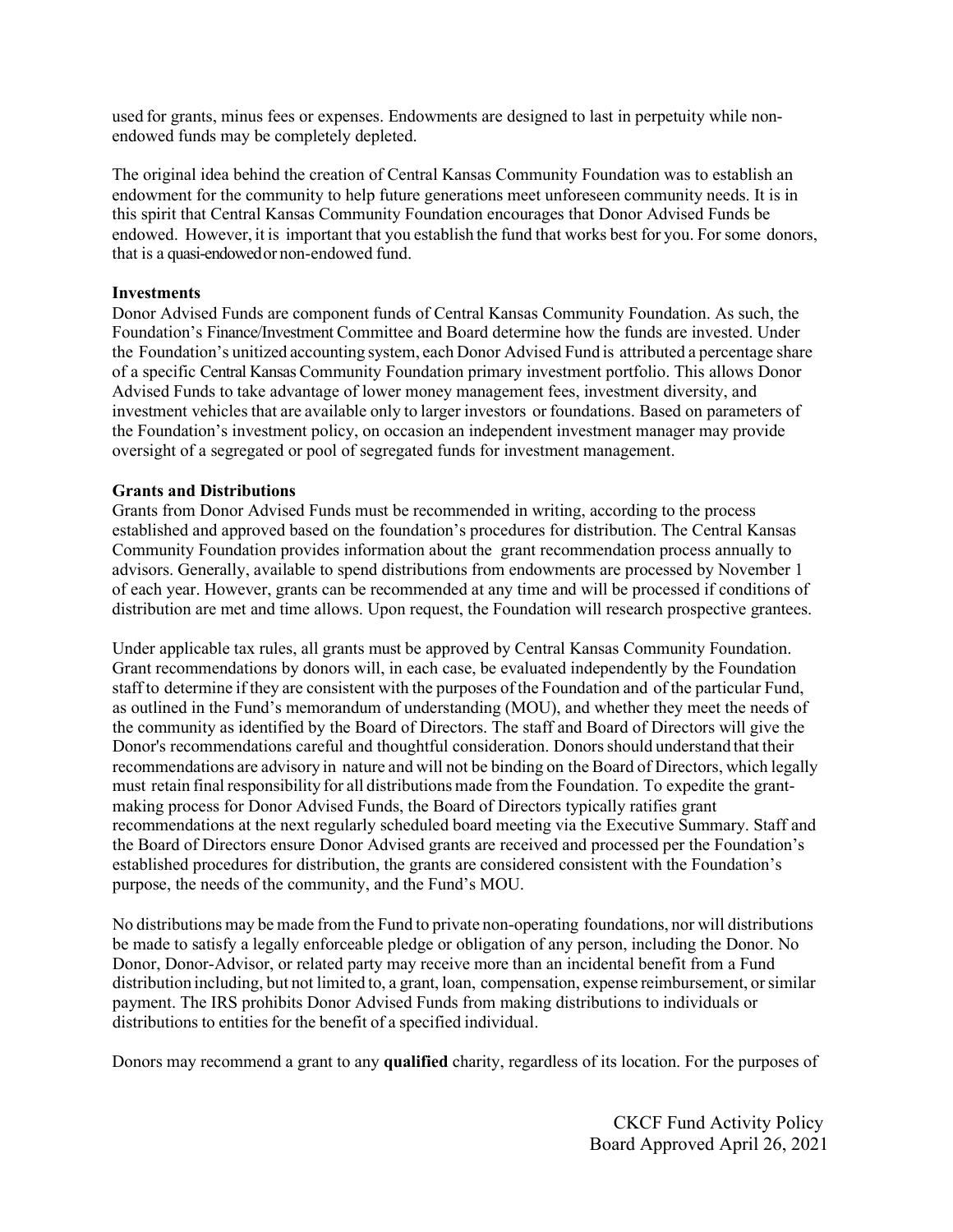used for grants, minus fees or expenses. Endowments are designed to last in perpetuity while nonendowed funds may be completely depleted.

The original idea behind the creation of Central Kansas Community Foundation was to establish an endowment for the community to help future generations meet unforeseen community needs. It is in this spirit that Central Kansas Community Foundation encourages that Donor Advised Funds be endowed. However, it is important that you establish the fund that works best for you. For some donors, that is a quasi-endowedor non‐endowed fund.

#### **Investments**

Donor Advised Funds are component funds of Central Kansas Community Foundation. As such, the Foundation's Finance/Investment Committee and Board determine how the funds are invested. Under the Foundation's unitized accounting system, each Donor Advised Fund is attributed a percentage share of a specific Central Kansas Community Foundation primary investment portfolio. This allows Donor Advised Funds to take advantage of lower money management fees, investment diversity, and investment vehicles that are available only to larger investors or foundations. Based on parameters of the Foundation's investment policy, on occasion an independent investment manager may provide oversight of a segregated or pool of segregated funds for investment management.

#### **Grants and Distributions**

Grants from Donor Advised Funds must be recommended in writing, according to the process established and approved based on the foundation's procedures for distribution. The Central Kansas Community Foundation provides information about the grant recommendation process annually to advisors. Generally, available to spend distributions from endowments are processed by November 1 of each year. However, grants can be recommended at any time and will be processed if conditions of distribution are met and time allows. Upon request, the Foundation will research prospective grantees.

Under applicable tax rules, all grants must be approved by Central Kansas Community Foundation. Grant recommendations by donors will, in each case, be evaluated independently by the Foundation staff to determine if they are consistent with the purposes of the Foundation and of the particular Fund, as outlined in the Fund's memorandum of understanding (MOU), and whether they meet the needs of the community as identified by the Board of Directors. The staff and Board of Directors will give the Donor's recommendations careful and thoughtful consideration. Donors should understand that their recommendations are advisory in nature and will not be binding on the Board of Directors, which legally must retain final responsibility for all distributions made from the Foundation. To expedite the grantmaking process for Donor Advised Funds, the Board of Directors typically ratifies grant recommendations at the next regularly scheduled board meeting via the Executive Summary. Staff and the Board of Directors ensure Donor Advised grants are received and processed per the Foundation's established procedures for distribution, the grants are considered consistent with the Foundation's purpose, the needs of the community, and the Fund's MOU.

No distributions may be made from the Fund to private non‐operating foundations, nor will distributions be made to satisfy a legally enforceable pledge or obligation of any person, including the Donor. No Donor, Donor‐Advisor, or related party may receive more than an incidental benefit from a Fund distribution including, but not limited to, a grant, loan, compensation, expense reimbursement, orsimilar payment. The IRS prohibits Donor Advised Funds from making distributions to individuals or distributions to entities for the benefit of a specified individual.

Donors may recommend a grant to any **qualified** charity, regardless of its location. For the purposes of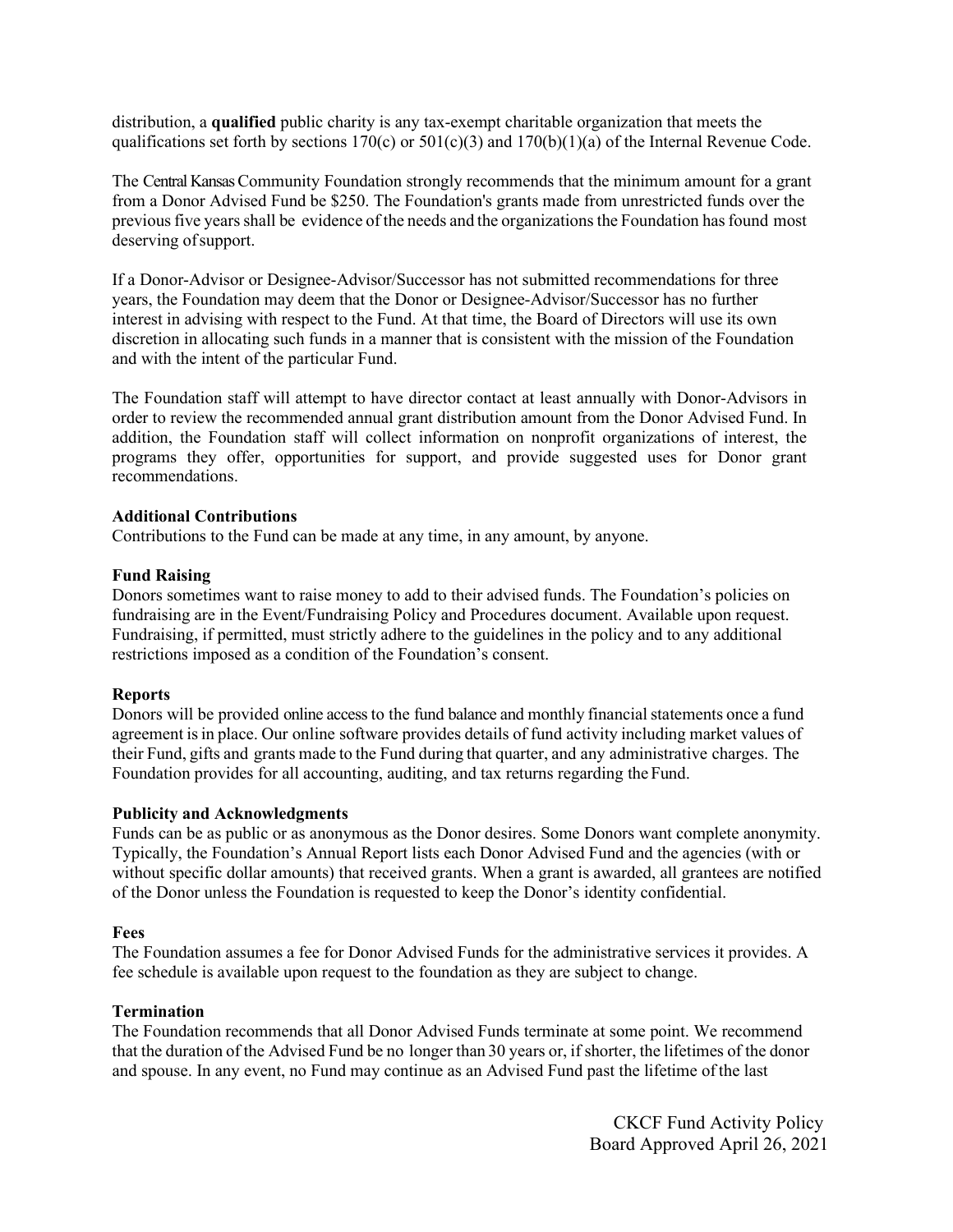distribution, a **qualified** public charity is any tax-exempt charitable organization that meets the qualifications set forth by sections  $170(c)$  or  $501(c)(3)$  and  $170(b)(1)(a)$  of the Internal Revenue Code.

The Central Kansas Community Foundation strongly recommends that the minimum amount for a grant from a Donor Advised Fund be \$250. The Foundation's grants made from unrestricted funds over the previousfive yearsshall be evidence of the needs and the organizationsthe Foundation hasfound most deserving of support.

If a Donor‐Advisor or Designee‐Advisor/Successor has not submitted recommendations for three years, the Foundation may deem that the Donor or Designee‐Advisor/Successor has no further interest in advising with respect to the Fund. At that time, the Board of Directors will use its own discretion in allocating such funds in a manner that is consistent with the mission of the Foundation and with the intent of the particular Fund.

The Foundation staff will attempt to have director contact at least annually with Donor‐Advisors in order to review the recommended annual grant distribution amount from the Donor Advised Fund. In addition, the Foundation staff will collect information on nonprofit organizations of interest, the programs they offer, opportunities for support, and provide suggested uses for Donor grant recommendations.

### **Additional Contributions**

Contributions to the Fund can be made at any time, in any amount, by anyone.

### **Fund Raising**

Donors sometimes want to raise money to add to their advised funds. The Foundation's policies on fundraising are in the Event/Fundraising Policy and Procedures document. Available upon request. Fundraising, if permitted, must strictly adhere to the guidelines in the policy and to any additional restrictions imposed as a condition of the Foundation's consent.

# **Reports**

Donors will be provided online access to the fund balance and monthly financial statements once a fund agreement isin place. Our online software provides details of fund activity including market values of their Fund, gifts and grants made to the Fund during that quarter, and any administrative charges. The Foundation provides for all accounting, auditing, and tax returns regarding the Fund.

### **Publicity and Acknowledgments**

Funds can be as public or as anonymous as the Donor desires. Some Donors want complete anonymity. Typically, the Foundation's Annual Report lists each Donor Advised Fund and the agencies (with or without specific dollar amounts) that received grants. When a grant is awarded, all grantees are notified of the Donor unless the Foundation is requested to keep the Donor's identity confidential.

### **Fees**

The Foundation assumes a fee for Donor Advised Funds for the administrative services it provides. A fee schedule is available upon request to the foundation as they are subject to change.

# **Termination**

The Foundation recommends that all Donor Advised Funds terminate at some point. We recommend that the duration of the Advised Fund be no longer than 30 years or, if shorter, the lifetimes of the donor and spouse. In any event, no Fund may continue as an Advised Fund past the lifetime of the last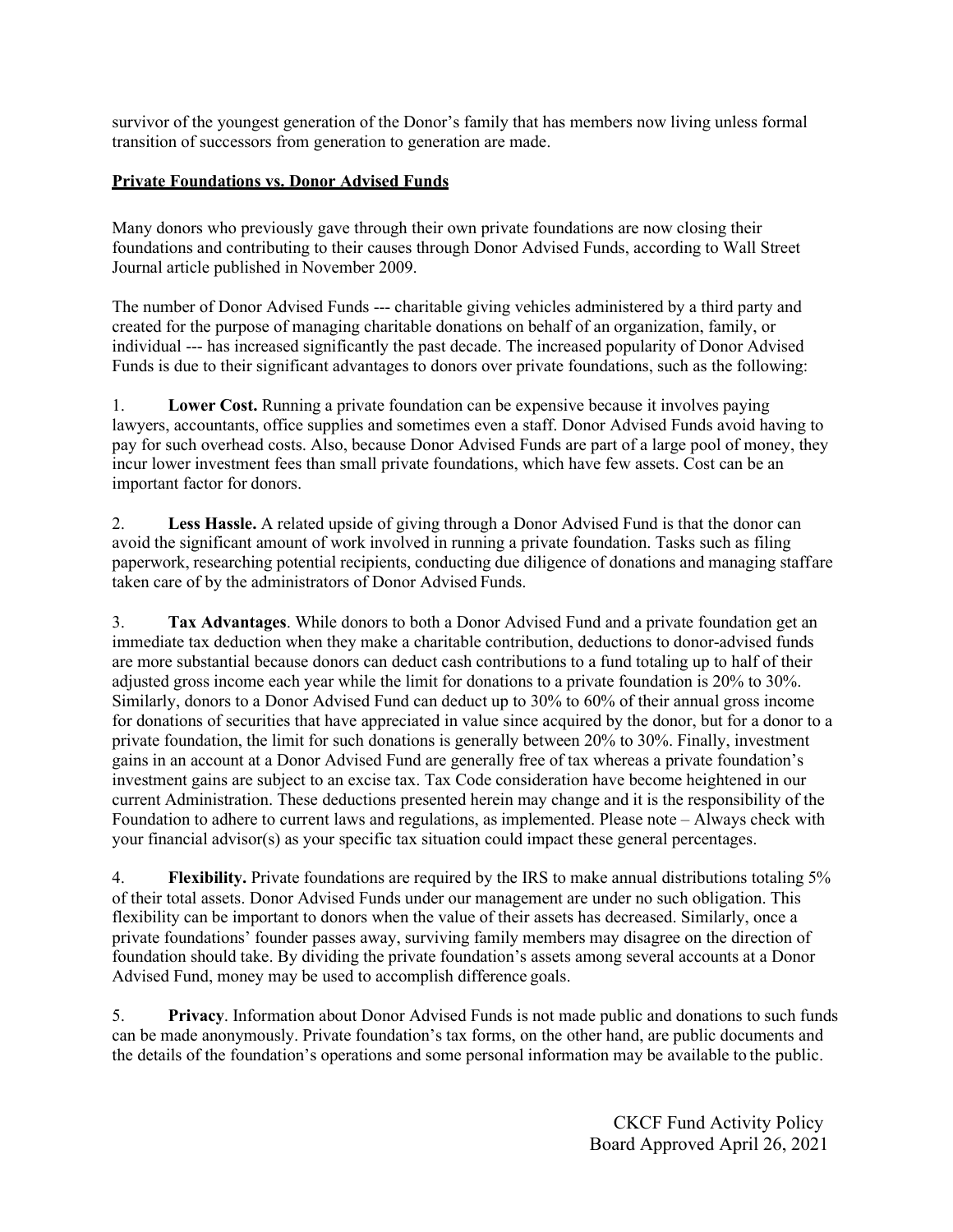survivor of the youngest generation of the Donor's family that has members now living unless formal transition of successors from generation to generation are made.

# **Private Foundations vs. Donor Advised Funds**

Many donors who previously gave through their own private foundations are now closing their foundations and contributing to their causes through Donor Advised Funds, according to Wall Street Journal article published in November 2009.

The number of Donor Advised Funds --- charitable giving vehicles administered by a third party and created for the purpose of managing charitable donations on behalf of an organization, family, or individual --- has increased significantly the past decade. The increased popularity of Donor Advised Funds is due to their significant advantages to donors over private foundations, such as the following:

1. **Lower Cost.** Running a private foundation can be expensive because it involves paying lawyers, accountants, office supplies and sometimes even a staff. Donor Advised Funds avoid having to pay for such overhead costs. Also, because Donor Advised Funds are part of a large pool of money, they incur lower investment fees than small private foundations, which have few assets. Cost can be an important factor for donors.

2. **Less Hassle.** A related upside of giving through a Donor Advised Fund is that the donor can avoid the significant amount of work involved in running a private foundation. Tasks such as filing paperwork, researching potential recipients, conducting due diligence of donations and managing staffare taken care of by the administrators of Donor Advised Funds.

3. **Tax Advantages**. While donors to both a Donor Advised Fund and a private foundation get an immediate tax deduction when they make a charitable contribution, deductions to donor-advised funds are more substantial because donors can deduct cash contributions to a fund totaling up to half of their adjusted gross income each year while the limit for donations to a private foundation is 20% to 30%. Similarly, donors to a Donor Advised Fund can deduct up to 30% to 60% of their annual gross income for donations of securities that have appreciated in value since acquired by the donor, but for a donor to a private foundation, the limit for such donations is generally between 20% to 30%. Finally, investment gains in an account at a Donor Advised Fund are generally free of tax whereas a private foundation's investment gains are subject to an excise tax. Tax Code consideration have become heightened in our current Administration. These deductions presented herein may change and it is the responsibility of the Foundation to adhere to current laws and regulations, as implemented. Please note – Always check with your financial advisor(s) as your specific tax situation could impact these general percentages.

4. **Flexibility.** Private foundations are required by the IRS to make annual distributions totaling 5% of their total assets. Donor Advised Funds under our management are under no such obligation. This flexibility can be important to donors when the value of their assets has decreased. Similarly, once a private foundations' founder passes away, surviving family members may disagree on the direction of foundation should take. By dividing the private foundation's assets among several accounts at a Donor Advised Fund, money may be used to accomplish difference goals.

5. **Privacy**. Information about Donor Advised Funds is not made public and donations to such funds can be made anonymously. Private foundation's tax forms, on the other hand, are public documents and the details of the foundation's operations and some personal information may be available to the public.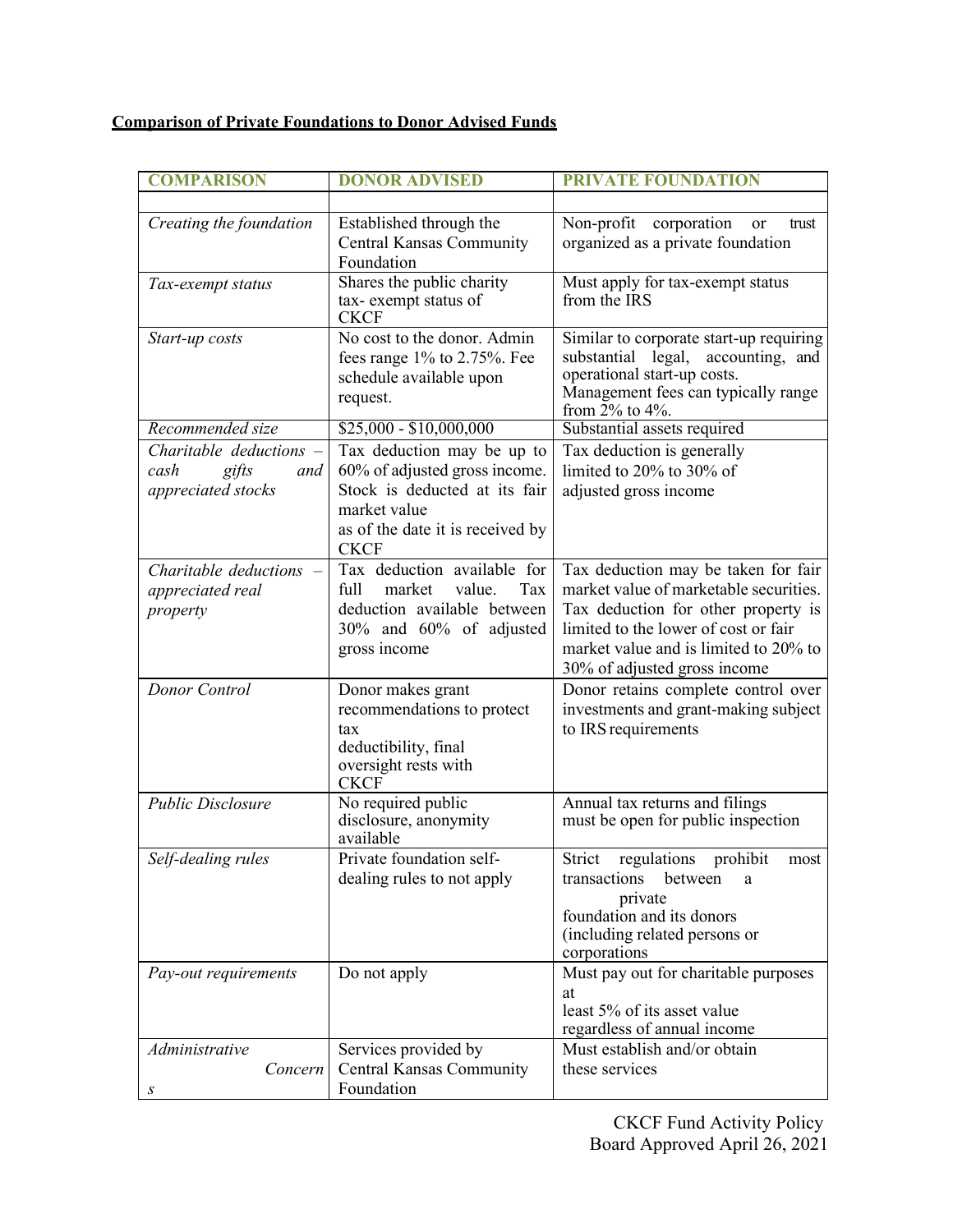# **Comparison of Private Foundations to Donor Advised Funds**

| <b>COMPARISON</b>         | <b>DONOR ADVISED</b>                            | <b>PRIVATE FOUNDATION</b>                                                   |
|---------------------------|-------------------------------------------------|-----------------------------------------------------------------------------|
|                           |                                                 |                                                                             |
| Creating the foundation   | Established through the                         | Non-profit corporation<br>or<br>trust                                       |
|                           | <b>Central Kansas Community</b>                 | organized as a private foundation                                           |
|                           | Foundation                                      |                                                                             |
| Tax-exempt status         | Shares the public charity                       | Must apply for tax-exempt status                                            |
|                           | tax-exempt status of<br><b>CKCF</b>             | from the IRS                                                                |
| Start-up costs            | No cost to the donor. Admin                     | Similar to corporate start-up requiring                                     |
|                           | fees range 1% to 2.75%. Fee                     | legal,<br>accounting, and<br>substantial                                    |
|                           | schedule available upon                         | operational start-up costs.                                                 |
|                           | request.                                        | Management fees can typically range                                         |
| Recommended size          | $$25,000 - $10,000,000$                         | from 2% to 4%.<br>Substantial assets required                               |
| Charitable deductions $-$ | Tax deduction may be up to                      | Tax deduction is generally                                                  |
| cash<br>gifts<br>and      | 60% of adjusted gross income.                   | limited to 20% to 30% of                                                    |
| appreciated stocks        | Stock is deducted at its fair                   | adjusted gross income                                                       |
|                           | market value                                    |                                                                             |
|                           | as of the date it is received by                |                                                                             |
|                           | <b>CKCF</b>                                     |                                                                             |
| Charitable deductions $-$ | Tax deduction available for                     | Tax deduction may be taken for fair                                         |
| appreciated real          | full<br>market<br>value.<br>Tax                 | market value of marketable securities.                                      |
| property                  | deduction available between                     | Tax deduction for other property is                                         |
|                           | 30% and 60% of adjusted                         | limited to the lower of cost or fair                                        |
|                           | gross income                                    | market value and is limited to 20% to                                       |
| Donor Control             |                                                 | 30% of adjusted gross income                                                |
|                           | Donor makes grant<br>recommendations to protect | Donor retains complete control over<br>investments and grant-making subject |
|                           | tax                                             | to IRS requirements                                                         |
|                           | deductibility, final                            |                                                                             |
|                           | oversight rests with                            |                                                                             |
|                           | <b>CKCF</b>                                     |                                                                             |
| <b>Public Disclosure</b>  | No required public                              | Annual tax returns and filings                                              |
|                           | disclosure, anonymity<br>available              | must be open for public inspection                                          |
| Self-dealing rules        | Private foundation self-                        | Strict<br>regulations<br>prohibit<br>most                                   |
|                           | dealing rules to not apply                      | transactions<br>between<br>a                                                |
|                           |                                                 | private                                                                     |
|                           |                                                 | foundation and its donors                                                   |
|                           |                                                 | (including related persons or                                               |
|                           |                                                 | corporations                                                                |
| Pay-out requirements      | Do not apply                                    | Must pay out for charitable purposes<br>at                                  |
|                           |                                                 | least 5% of its asset value                                                 |
|                           |                                                 | regardless of annual income                                                 |
| Administrative            | Services provided by                            | Must establish and/or obtain                                                |
| Concern                   | Central Kansas Community                        | these services                                                              |
| S                         | Foundation                                      |                                                                             |